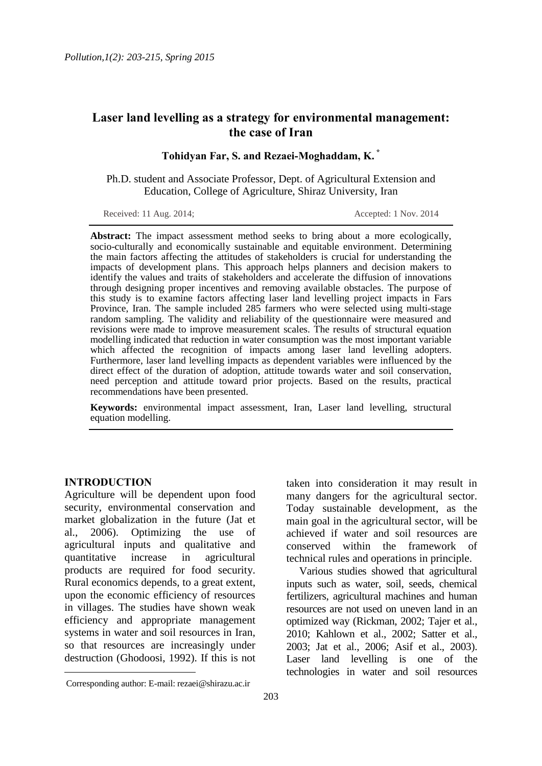# **Laser land levelling as a strategy for environmental management: the case of Iran**

**Tohidyan Far, S. and Rezaei-Moghaddam, K. \***

Ph.D. student and Associate Professor, Dept. of Agricultural Extension and Education, College of Agriculture, Shiraz University, Iran

Received: 11 Aug. 2014; Accepted: 1 Nov. 2014

**Abstract:** The impact assessment method seeks to bring about a more ecologically, socio-culturally and economically sustainable and equitable environment. Determining the main factors affecting the attitudes of stakeholders is crucial for understanding the impacts of development plans. This approach helps planners and decision makers to identify the values and traits of stakeholders and accelerate the diffusion of innovations through designing proper incentives and removing available obstacles. The purpose of this study is to examine factors affecting laser land levelling project impacts in Fars Province, Iran. The sample included 285 farmers who were selected using multi-stage random sampling. The validity and reliability of the questionnaire were measured and revisions were made to improve measurement scales. The results of structural equation modelling indicated that reduction in water consumption was the most important variable which affected the recognition of impacts among laser land levelling adopters. Furthermore, laser land levelling impacts as dependent variables were influenced by the direct effect of the duration of adoption, attitude towards water and soil conservation, need perception and attitude toward prior projects. Based on the results, practical recommendations have been presented.

**Keywords:** environmental impact assessment, Iran, Laser land levelling, structural equation modelling.

### **INTRODUCTION**

 $\overline{\phantom{a}}$ 

Agriculture will be dependent upon food security, environmental conservation and market globalization in the future (Jat et al., 2006). Optimizing the use of agricultural inputs and qualitative and quantitative increase in agricultural products are required for food security. Rural economics depends, to a great extent, upon the economic efficiency of resources in villages. The studies have shown weak efficiency and appropriate management systems in water and soil resources in Iran, so that resources are increasingly under destruction (Ghodoosi, 1992). If this is not

Various studies showed that agricultural inputs such as water, soil, seeds, chemical fertilizers, agricultural machines and human resources are not used on uneven land in an optimized way (Rickman, 2002; Tajer et al., 2010; Kahlown et al., 2002; Satter et al., 2003; Jat et al., 2006; Asif et al., 2003). Laser land levelling is one of the technologies in water and soil resources

taken into consideration it may result in many dangers for the agricultural sector. Today sustainable development, as the main goal in the agricultural sector, will be achieved if water and soil resources are conserved within the framework of technical rules and operations in principle.

Corresponding author: E-mail: rezaei@shirazu.ac.ir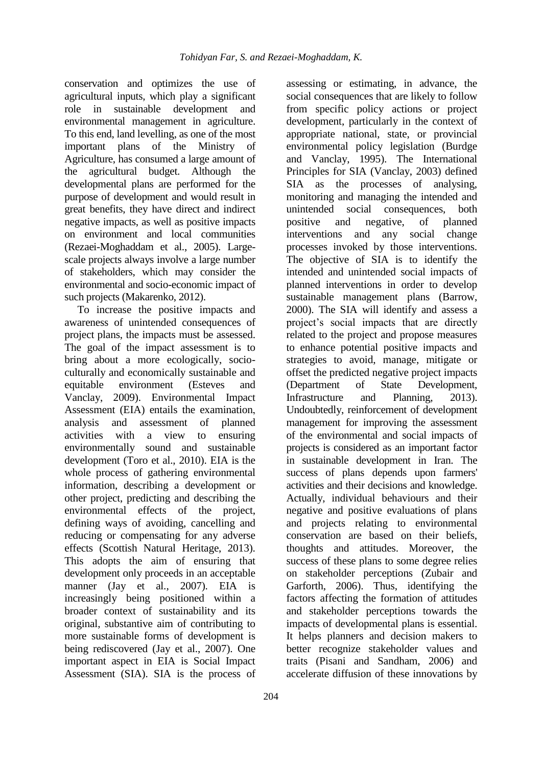conservation and optimizes the use of agricultural inputs, which play a significant role in sustainable development and environmental management in agriculture. To this end, land levelling, as one of the most important plans of the Ministry of Agriculture, has consumed a large amount of the agricultural budget. Although the developmental plans are performed for the purpose of development and would result in great benefits, they have direct and indirect negative impacts, as well as positive impacts on environment and local communities (Rezaei-Moghaddam et al., 2005). Largescale projects always involve a large number of stakeholders, which may consider the environmental and socio-economic impact of such projects (Makarenko, 2012).

To increase the positive impacts and awareness of unintended consequences of project plans, the impacts must be assessed. The goal of the impact assessment is to bring about a more ecologically, socioculturally and economically sustainable and equitable environment (Esteves and Vanclay, 2009). Environmental Impact Assessment (EIA) entails the examination, analysis and assessment of planned activities with a view to ensuring environmentally sound and sustainable development (Toro et al., 2010). EIA is the whole process of gathering environmental information, describing a development or other project, predicting and describing the environmental effects of the project, defining ways of avoiding, cancelling and reducing or compensating for any adverse effects (Scottish Natural Heritage, 2013). This adopts the aim of ensuring that development only proceeds in an acceptable manner (Jay et al., 2007). EIA is increasingly being positioned within a broader context of sustainability and its original, substantive aim of contributing to more sustainable forms of development is being rediscovered (Jay et al., 2007). One important aspect in EIA is Social Impact Assessment (SIA). SIA is the process of

assessing or estimating, in advance, the social consequences that are likely to follow from specific policy actions or project development, particularly in the context of appropriate national, state, or provincial environmental policy legislation (Burdge and Vanclay, 1995). The International Principles for SIA (Vanclay, 2003) defined SIA as the processes of analysing, monitoring and managing the intended and unintended social consequences, both positive and negative, of planned interventions and any social change processes invoked by those interventions. The objective of SIA is to identify the intended and unintended social impacts of planned interventions in order to develop sustainable management plans (Barrow, 2000). The SIA will identify and assess a project's social impacts that are directly related to the project and propose measures to enhance potential positive impacts and strategies to avoid, manage, mitigate or offset the predicted negative project impacts (Department of State Development, Infrastructure and Planning, 2013). Undoubtedly, reinforcement of development management for improving the assessment of the environmental and social impacts of projects is considered as an important factor in sustainable development in Iran. The success of plans depends upon farmers' activities and their decisions and knowledge. Actually, individual behaviours and their negative and positive evaluations of plans and projects relating to environmental conservation are based on their beliefs, thoughts and attitudes. Moreover, the success of these plans to some degree relies on stakeholder perceptions (Zubair and Garforth, 2006). Thus, identifying the factors affecting the formation of attitudes and stakeholder perceptions towards the impacts of developmental plans is essential. It helps planners and decision makers to better recognize stakeholder values and traits (Pisani and Sandham, 2006) and accelerate diffusion of these innovations by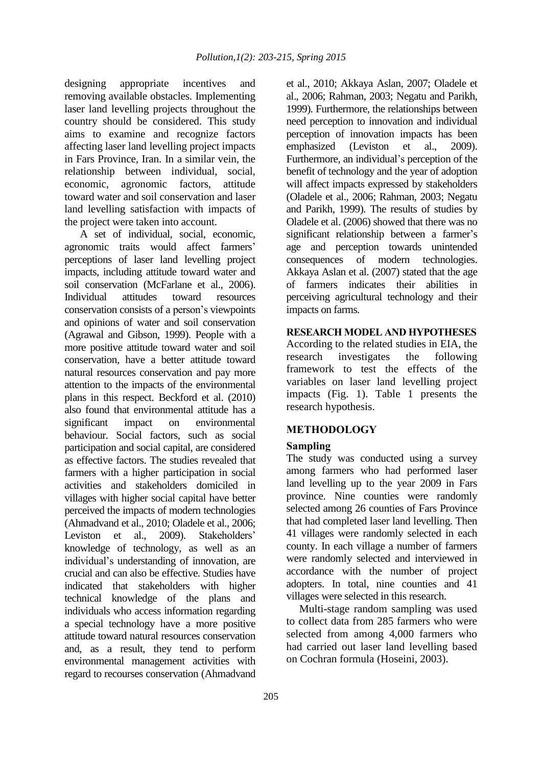designing appropriate incentives and removing available obstacles. Implementing laser land levelling projects throughout the country should be considered. This study aims to examine and recognize factors affecting laser land levelling project impacts in Fars Province, Iran. In a similar vein, the relationship between individual, social, economic, agronomic factors, attitude toward water and soil conservation and laser land levelling satisfaction with impacts of the project were taken into account.

A set of individual, social, economic, agronomic traits would affect farmers' perceptions of laser land levelling project impacts, including attitude toward water and soil conservation (McFarlane et al., 2006). Individual attitudes toward resources conservation consists of a person's viewpoints and opinions of water and soil conservation (Agrawal and Gibson, 1999). People with a more positive attitude toward water and soil conservation, have a better attitude toward natural resources conservation and pay more attention to the impacts of the environmental plans in this respect. Beckford et al. (2010) also found that environmental attitude has a significant impact on environmental behaviour. Social factors, such as social participation and social capital, are considered as effective factors. The studies revealed that farmers with a higher participation in social activities and stakeholders domiciled in villages with higher social capital have better perceived the impacts of modern technologies (Ahmadvand et al., 2010; Oladele et al., 2006; Leviston et al., 2009). Stakeholders' knowledge of technology, as well as an individual's understanding of innovation, are crucial and can also be effective. Studies have indicated that stakeholders with higher technical knowledge of the plans and individuals who access information regarding a special technology have a more positive attitude toward natural resources conservation and, as a result, they tend to perform environmental management activities with regard to recourses conservation (Ahmadvand

et al., 2010; Akkaya Aslan, 2007; Oladele et al., 2006; Rahman, 2003; Negatu and Parikh, 1999). Furthermore, the relationships between need perception to innovation and individual perception of innovation impacts has been emphasized (Leviston et al., 2009). Furthermore, an individual's perception of the benefit of technology and the year of adoption will affect impacts expressed by stakeholders (Oladele et al., 2006; Rahman, 2003; Negatu and Parikh, 1999). The results of studies by Oladele et al. (2006) showed that there was no significant relationship between a farmer's age and perception towards unintended consequences of modern technologies. Akkaya Aslan et al. (2007) stated that the age of farmers indicates their abilities in perceiving agricultural technology and their impacts on farms.

# **RESEARCH MODEL AND HYPOTHESES**

According to the related studies in EIA, the research investigates the following framework to test the effects of the variables on laser land levelling project impacts (Fig. 1). Table 1 presents the research hypothesis.

# **METHODOLOGY**

# **Sampling**

The study was conducted using a survey among farmers who had performed laser land levelling up to the year 2009 in Fars province. Nine counties were randomly selected among 26 counties of Fars Province that had completed laser land levelling. Then 41 villages were randomly selected in each county. In each village a number of farmers were randomly selected and interviewed in accordance with the number of project adopters. In total, nine counties and 41 villages were selected in this research.

Multi-stage random sampling was used to collect data from 285 farmers who were selected from among 4,000 farmers who had carried out laser land levelling based on Cochran formula (Hoseini, 2003).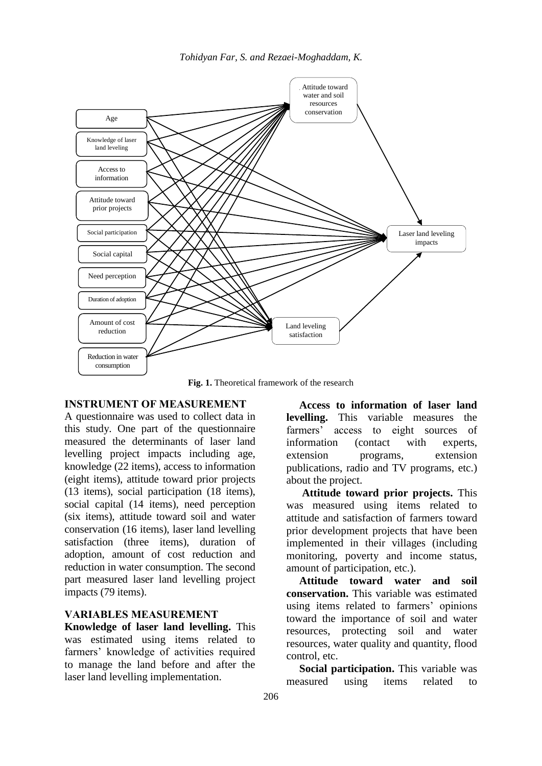*Tohidyan Far, S. and Rezaei-Moghaddam, K.*



**Fig. 1.** Theoretical framework of the research

# **INSTRUMENT OF MEASUREMENT**

A questionnaire was used to collect data in this study. One part of the questionnaire measured the determinants of laser land levelling project impacts including age, knowledge (22 items), access to information (eight items), attitude toward prior projects (13 items), social participation (18 items), social capital (14 items), need perception (six items), attitude toward soil and water conservation (16 items), laser land levelling satisfaction (three items), duration of adoption, amount of cost reduction and reduction in water consumption. The second part measured laser land levelling project impacts (79 items).

# **VARIABLES MEASUREMENT**

**Knowledge of laser land levelling.** This was estimated using items related to farmers' knowledge of activities required to manage the land before and after the laser land levelling implementation.

**Access to information of laser land levelling.** This variable measures the farmers' access to eight sources of information (contact with experts, extension programs, extension publications, radio and TV programs, etc.) about the project.

**Attitude toward prior projects.** This was measured using items related to attitude and satisfaction of farmers toward prior development projects that have been implemented in their villages (including monitoring, poverty and income status, amount of participation, etc.).

**Attitude toward water and soil conservation.** This variable was estimated using items related to farmers' opinions toward the importance of soil and water resources, protecting soil and water resources, water quality and quantity, flood control, etc.

**Social participation.** This variable was measured using items related to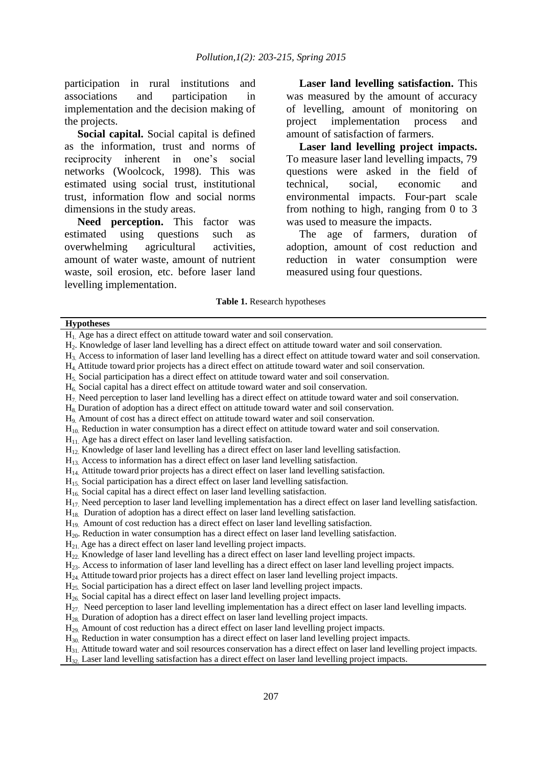participation in rural institutions and associations and participation in implementation and the decision making of the projects.

**Social capital.** Social capital is defined as the information, trust and norms of reciprocity inherent in one's social networks (Woolcock, 1998). This was estimated using social trust, institutional trust, information flow and social norms dimensions in the study areas.

**Need perception.** This factor was estimated using questions such as overwhelming agricultural activities, amount of water waste, amount of nutrient waste, soil erosion, etc. before laser land levelling implementation.

**Laser land levelling satisfaction.** This was measured by the amount of accuracy of levelling, amount of monitoring on project implementation process and amount of satisfaction of farmers.

**Laser land levelling project impacts.** To measure laser land levelling impacts, 79 questions were asked in the field of technical, social, economic and environmental impacts. Four-part scale from nothing to high, ranging from 0 to 3 was used to measure the impacts.

The age of farmers, duration of adoption, amount of cost reduction and reduction in water consumption were measured using four questions.

#### **Table 1.** Research hypotheses

#### **Hypotheses**

 $H<sub>11</sub>$ . Age has a direct effect on laser land levelling satisfaction.

- $H<sub>13</sub>$  Access to information has a direct effect on laser land levelling satisfaction.
- H14. Attitude toward prior projects has a direct effect on laser land levelling satisfaction.
- $H<sub>15</sub>$ . Social participation has a direct effect on laser land levelling satisfaction.
- $H<sub>16</sub>$ . Social capital has a direct effect on laser land levelling satisfaction.
- $H_{17}$ . Need perception to laser land levelling implementation has a direct effect on laser land levelling satisfaction.
- $H_{18}$ . Duration of adoption has a direct effect on laser land levelling satisfaction.
- $H_{19}$ . Amount of cost reduction has a direct effect on laser land levelling satisfaction.
- H20. Reduction in water consumption has a direct effect on laser land levelling satisfaction.
- $H_{21}$  Age has a direct effect on laser land levelling project impacts.
- H22. Knowledge of laser land levelling has a direct effect on laser land levelling project impacts.
- H23. Access to information of laser land levelling has a direct effect on laser land levelling project impacts.
- H24. Attitude toward prior projects has a direct effect on laser land levelling project impacts.
- $H<sub>25</sub>$  Social participation has a direct effect on laser land levelling project impacts.
- $H<sub>26</sub>$  Social capital has a direct effect on laser land levelling project impacts.
- $H_{27}$ . Need perception to laser land levelling implementation has a direct effect on laser land levelling impacts.
- $H_{28}$  Duration of adoption has a direct effect on laser land levelling project impacts.
- H29. Amount of cost reduction has a direct effect on laser land levelling project impacts.
- H30. Reduction in water consumption has a direct effect on laser land levelling project impacts.
- $H_{31}$  Attitude toward water and soil resources conservation has a direct effect on laser land levelling project impacts.
- H32. Laser land levelling satisfaction has a direct effect on laser land levelling project impacts.

 $H<sub>1</sub>$  Age has a direct effect on attitude toward water and soil conservation.

H2. Knowledge of laser land levelling has a direct effect on attitude toward water and soil conservation.

H3. Access to information of laser land levelling has a direct effect on attitude toward water and soil conservation.

H4. Attitude toward prior projects has a direct effect on attitude toward water and soil conservation.

 $H<sub>5</sub>$  Social participation has a direct effect on attitude toward water and soil conservation.

H6. Social capital has a direct effect on attitude toward water and soil conservation.

H7. Need perception to laser land levelling has a direct effect on attitude toward water and soil conservation.

H8. Duration of adoption has a direct effect on attitude toward water and soil conservation.

H9. Amount of cost has a direct effect on attitude toward water and soil conservation.

H10. Reduction in water consumption has a direct effect on attitude toward water and soil conservation.

H12. Knowledge of laser land levelling has a direct effect on laser land levelling satisfaction.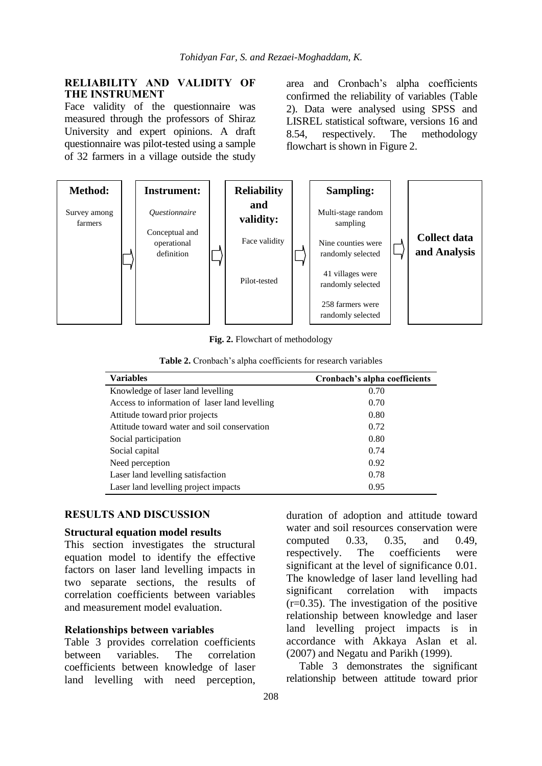## **RELIABILITY AND VALIDITY OF THE INSTRUMENT**

Face validity of the questionnaire was measured through the professors of Shiraz University and expert opinions. A draft questionnaire was pilot-tested using a sample of 32 farmers in a village outside the study

area and Cronbach's alpha coefficients confirmed the reliability of variables (Table 2). Data were analysed using SPSS and LISREL statistical software, versions 16 and 8.54, respectively. The methodology flowchart is shown in Figure 2.



**Fig. 2.** Flowchart of methodology

| <b>Variables</b>                              | Cronbach's alpha coefficients |
|-----------------------------------------------|-------------------------------|
| Knowledge of laser land levelling             | 0.70                          |
| Access to information of laser land levelling | 0.70                          |
| Attitude toward prior projects                | 0.80                          |
| Attitude toward water and soil conservation   | 0.72                          |
| Social participation                          | 0.80                          |
| Social capital                                | 0.74                          |
| Need perception                               | 0.92                          |
| Laser land levelling satisfaction             | 0.78                          |
| Laser land levelling project impacts          | 0.95                          |

# **RESULTS AND DISCUSSION**

### **Structural equation model results**

This section investigates the structural equation model to identify the effective factors on laser land levelling impacts in two separate sections, the results of correlation coefficients between variables and measurement model evaluation.

### **Relationships between variables**

Table 3 provides correlation coefficients between variables. The correlation coefficients between knowledge of laser land levelling with need perception, duration of adoption and attitude toward water and soil resources conservation were computed 0.33, 0.35, and 0.49, respectively. The coefficients were significant at the level of significance 0.01. The knowledge of laser land levelling had significant correlation with impacts (r=0.35). The investigation of the positive relationship between knowledge and laser land levelling project impacts is in accordance with Akkaya Aslan et al. (2007) and Negatu and Parikh (1999).

Table 3 demonstrates the significant relationship between attitude toward prior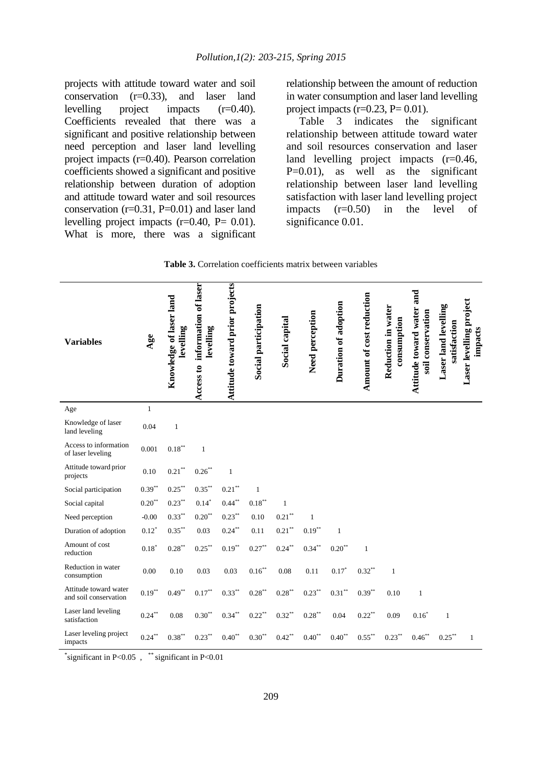projects with attitude toward water and soil conservation (r=0.33), and laser land levelling project impacts (r=0.40). Coefficients revealed that there was a significant and positive relationship between need perception and laser land levelling project impacts (r=0.40). Pearson correlation coefficients showed a significant and positive relationship between duration of adoption and attitude toward water and soil resources conservation  $(r=0.31, P=0.01)$  and laser land levelling project impacts  $(r=0.40, P= 0.01)$ . What is more, there was a significant relationship between the amount of reduction in water consumption and laser land levelling project impacts  $(r=0.23, P=0.01)$ .

Table 3 indicates the significant relationship between attitude toward water and soil resources conservation and laser land levelling project impacts (r=0.46, P=0.01), as well as the significant relationship between laser land levelling satisfaction with laser land levelling project impacts (r=0.50) in the level of significance 0.01.

|  |  | <b>Table 3.</b> Correlation coefficients matrix between variables |  |
|--|--|-------------------------------------------------------------------|--|
|--|--|-------------------------------------------------------------------|--|

| <b>Variables</b>                               | Age          | Knowledge of laser land<br>levelling | Access to information of laser<br>levelling | Attitude toward prior projects | Social participation | Social capital    | Need perception | Duration of adoption | Amount of cost reduction | Reduction in water<br>consumption | Attitude toward water and<br>soil conservation | Laser land levelling<br>satisfaction | Laser levelling project<br>impacts |
|------------------------------------------------|--------------|--------------------------------------|---------------------------------------------|--------------------------------|----------------------|-------------------|-----------------|----------------------|--------------------------|-----------------------------------|------------------------------------------------|--------------------------------------|------------------------------------|
| Age                                            | $\mathbf{1}$ |                                      |                                             |                                |                      |                   |                 |                      |                          |                                   |                                                |                                      |                                    |
| Knowledge of laser<br>land leveling            | 0.04         | $\mathbf{1}$                         |                                             |                                |                      |                   |                 |                      |                          |                                   |                                                |                                      |                                    |
| Access to information<br>of laser leveling     | 0.001        | $0.18***$                            | $\mathbf{1}$                                |                                |                      |                   |                 |                      |                          |                                   |                                                |                                      |                                    |
| Attitude toward prior<br>projects              | 0.10         | $0.21***$                            | $0.26$ **                                   | $\mathbf{1}$                   |                      |                   |                 |                      |                          |                                   |                                                |                                      |                                    |
| Social participation                           | $0.39***$    | $0.25***$                            | $0.35***$                                   | $0.21***$                      | $\mathbf{1}$         |                   |                 |                      |                          |                                   |                                                |                                      |                                    |
| Social capital                                 | $0.20***$    | $0.23***$                            | $0.14*$                                     | $0.44***$                      | $0.18***$            | $\mathbf{1}$      |                 |                      |                          |                                   |                                                |                                      |                                    |
| Need perception                                | $-0.00$      | $0.33***$                            | $0.20^{**}$                                 | $0.23***$                      | 0.10                 | $0.21^{\ast\ast}$ | $\mathbf{1}$    |                      |                          |                                   |                                                |                                      |                                    |
| Duration of adoption                           | $0.12*$      | $0.35***$                            | 0.03                                        | $0.24***$                      | 0.11                 | $0.21***$         | $0.19***$       | $\mathbf{1}$         |                          |                                   |                                                |                                      |                                    |
| Amount of cost<br>reduction                    | $0.18*$      | $0.28***$                            | $0.25***$                                   | $0.19***$                      | $0.27***$            | $0.24***$         | $0.34***$       | $0.20^{**}$          | $\mathbf{1}$             |                                   |                                                |                                      |                                    |
| Reduction in water<br>consumption              | 0.00         | 0.10                                 | 0.03                                        | 0.03                           | $0.16^{\ast\ast}$    | 0.08              | 0.11            | $0.17*$              | $0.32**$                 | $\mathbf{1}$                      |                                                |                                      |                                    |
| Attitude toward water<br>and soil conservation | $0.19***$    | $0.49***$                            | $0.17***$                                   | $0.33***$                      | $0.28***$            | $0.28***$         | $0.23***$       | $0.31***$            | $0.39***$                | 0.10                              | $\mathbf{1}$                                   |                                      |                                    |
| Laser land leveling<br>satisfaction            | $0.24***$    | 0.08                                 | $0.30^{\ast\ast}$                           | $0.34***$                      | $0.22***$            | $0.32***$         | $0.28***$       | 0.04                 | $0.22***$                | 0.09                              | $0.16*$                                        | $\mathbf{1}$                         |                                    |
| Laser leveling project<br>impacts              | $0.24***$    | $0.38***$                            | $0.23***$                                   | $0.40**$                       | $0.30**$             | $0.42***$         | $0.40**$        | $0.40^{**}$          | $0.55***$                | $0.23***$                         | $0.46***$                                      | $0.25***$                            | $\mathbf{1}$                       |

\*significant in P<0.05 , \*\*significant in P<0.01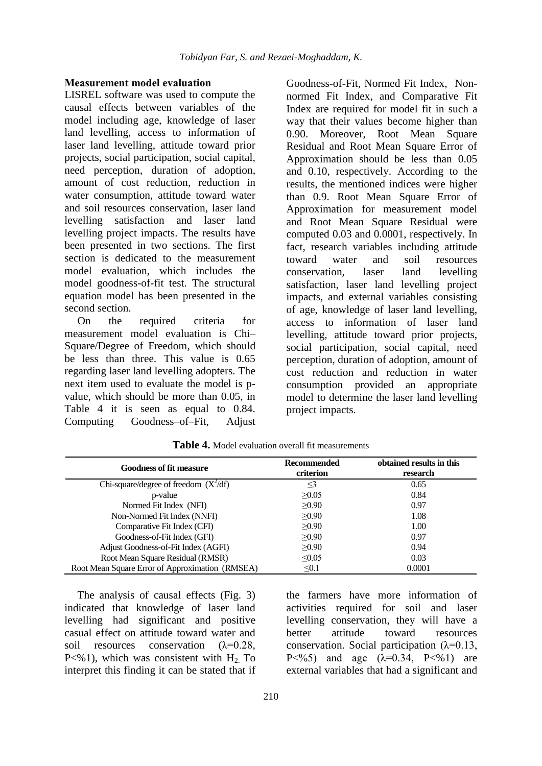### **Measurement model evaluation**

LISREL software was used to compute the causal effects between variables of the model including age, knowledge of laser land levelling, access to information of laser land levelling, attitude toward prior projects, social participation, social capital, need perception, duration of adoption, amount of cost reduction, reduction in water consumption, attitude toward water and soil resources conservation, laser land levelling satisfaction and laser land levelling project impacts. The results have been presented in two sections. The first section is dedicated to the measurement model evaluation, which includes the model goodness-of-fit test. The structural equation model has been presented in the second section.

On the required criteria for measurement model evaluation is Chi– Square/Degree of Freedom, which should be less than three. This value is 0.65 regarding laser land levelling adopters. The next item used to evaluate the model is pvalue, which should be more than 0.05, in Table 4 it is seen as equal to 0.84. Computing Goodness–of–Fit, Adjust

Goodness-of-Fit, Normed Fit Index, Nonnormed Fit Index, and Comparative Fit Index are required for model fit in such a way that their values become higher than 0.90. Moreover, Root Mean Square Residual and Root Mean Square Error of Approximation should be less than 0.05 and 0.10, respectively. According to the results, the mentioned indices were higher than 0.9. Root Mean Square Error of Approximation for measurement model and Root Mean Square Residual were computed 0.03 and 0.0001, respectively. In fact, research variables including attitude toward water and soil resources conservation, laser land levelling satisfaction, laser land levelling project impacts, and external variables consisting of age, knowledge of laser land levelling, access to information of laser land levelling, attitude toward prior projects, social participation, social capital, need perception, duration of adoption, amount of cost reduction and reduction in water consumption provided an appropriate model to determine the laser land levelling project impacts.

| <b>Goodness of fit measure</b>                  | Recommended<br>criterion | obtained results in this<br>research |
|-------------------------------------------------|--------------------------|--------------------------------------|
| Chi-square/degree of freedom $(X^2/df)$         | ≤3                       | 0.65                                 |
| p-value                                         | >0.05                    | 0.84                                 |
| Normed Fit Index (NFI)                          | >0.90                    | 0.97                                 |
| Non-Normed Fit Index (NNFI)                     | >0.90                    | 1.08                                 |
| Comparative Fit Index (CFI)                     | $\geq 0.90$              | 1.00                                 |
| Goodness-of-Fit Index (GFI)                     | >0.90                    | 0.97                                 |
| Adjust Goodness-of-Fit Index (AGFI)             | >0.90                    | 0.94                                 |
| Root Mean Square Residual (RMSR)                | $\leq 0.05$              | 0.03                                 |
| Root Mean Square Error of Approximation (RMSEA) | $\leq 0.1$               | 0.0001                               |

**Table 4.** Model evaluation overall fit measurements

The analysis of causal effects (Fig. 3) indicated that knowledge of laser land levelling had significant and positive casual effect on attitude toward water and soil resources conservation  $(\lambda=0.28,$  $P<\frac{9}{1}$ , which was consistent with H<sub>2</sub>. To interpret this finding it can be stated that if

the farmers have more information of activities required for soil and laser levelling conservation, they will have a better attitude toward resources conservation. Social participation  $(\lambda=0.13)$ , P  $\leq$ %5) and age (λ=0.34, P  $\lt$  % 1) are external variables that had a significant and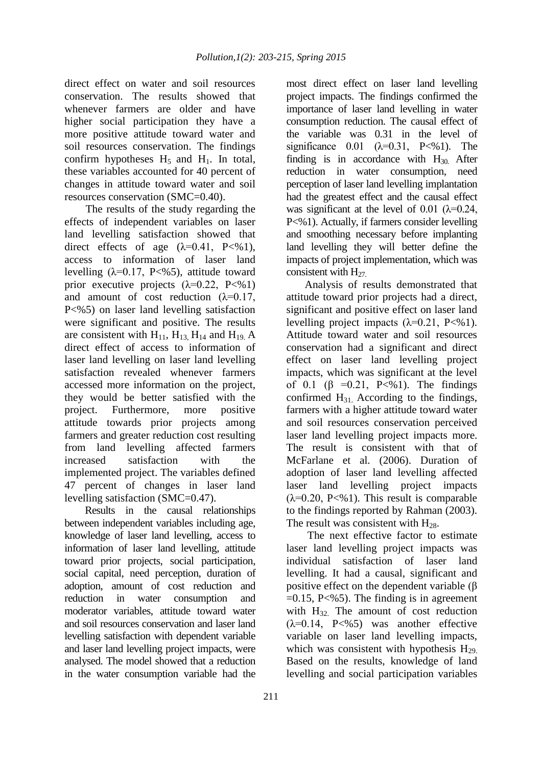direct effect on water and soil resources conservation. The results showed that whenever farmers are older and have higher social participation they have a more positive attitude toward water and soil resources conservation. The findings confirm hypotheses  $H_5$  and  $H_1$ . In total, these variables accounted for 40 percent of changes in attitude toward water and soil resources conservation (SMC=0.40).

 The results of the study regarding the effects of independent variables on laser land levelling satisfaction showed that direct effects of age  $(\lambda=0.41, P\ltimes 1)$ , access to information of laser land levelling  $(\lambda=0.17, P<\frac{9}{5})$ , attitude toward prior executive projects  $(\lambda=0.22, P<\%1)$ and amount of cost reduction  $(\lambda=0.17)$ , P<%5) on laser land levelling satisfaction were significant and positive. The results are consistent with  $H_{11}$ ,  $H_{13}$ ,  $H_{14}$  and  $H_{19}$ , A direct effect of access to information of laser land levelling on laser land levelling satisfaction revealed whenever farmers accessed more information on the project, they would be better satisfied with the project. Furthermore, more positive attitude towards prior projects among farmers and greater reduction cost resulting from land levelling affected farmers increased satisfaction with the implemented project. The variables defined 47 percent of changes in laser land levelling satisfaction (SMC=0.47).

 Results in the causal relationships between independent variables including age, knowledge of laser land levelling, access to information of laser land levelling, attitude toward prior projects, social participation, social capital, need perception, duration of adoption, amount of cost reduction and reduction in water consumption and moderator variables, attitude toward water and soil resources conservation and laser land levelling satisfaction with dependent variable and laser land levelling project impacts, were analysed. The model showed that a reduction in the water consumption variable had the

most direct effect on laser land levelling project impacts. The findings confirmed the importance of laser land levelling in water consumption reduction. The causal effect of the variable was 0.31 in the level of significance  $0.01$  ( $\lambda$ =0.31, P<%1). The finding is in accordance with  $H_{30}$  After reduction in water consumption, need perception of laser land levelling implantation had the greatest effect and the causal effect was significant at the level of 0.01 ( $\lambda$ =0.24, P<%1). Actually, if farmers consider levelling and smoothing necessary before implanting land levelling they will better define the impacts of project implementation, which was consistent with  $H_{27}$ .

 Analysis of results demonstrated that attitude toward prior projects had a direct, significant and positive effect on laser land levelling project impacts  $(\lambda=0.21, P\leq 0.1)$ . Attitude toward water and soil resources conservation had a significant and direct effect on laser land levelling project impacts, which was significant at the level of 0.1 ( $\beta$  =0.21, P<%1). The findings confirmed  $H_{31}$  According to the findings, farmers with a higher attitude toward water and soil resources conservation perceived laser land levelling project impacts more. The result is consistent with that of McFarlane et al. (2006). Duration of adoption of laser land levelling affected laser land levelling project impacts  $(\lambda=0.20, P\leq 0.1)$ . This result is comparable to the findings reported by Rahman (2003). The result was consistent with  $H_{28}$ .

 The next effective factor to estimate laser land levelling project impacts was individual satisfaction of laser land levelling. It had a causal, significant and positive effect on the dependent variable (β  $=0.15$ , P $\leq$ %5). The finding is in agreement with  $H_{32}$ . The amount of cost reduction  $(\lambda=0.14, P<\frac{9}{5})$  was another effective variable on laser land levelling impacts, which was consistent with hypothesis  $H_{29}$ . Based on the results, knowledge of land levelling and social participation variables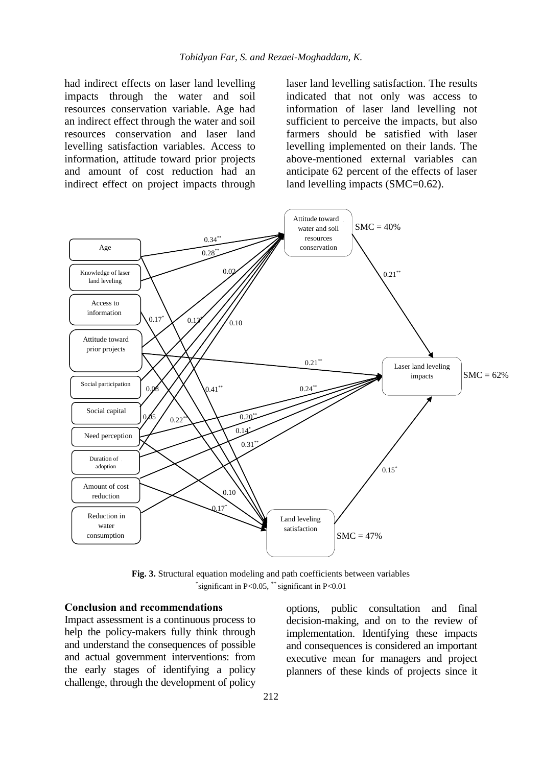had indirect effects on laser land levelling impacts through the water and soil resources conservation variable. Age had an indirect effect through the water and soil resources conservation and laser land levelling satisfaction variables. Access to information, attitude toward prior projects and amount of cost reduction had an indirect effect on project impacts through

laser land levelling satisfaction. The results indicated that not only was access to information of laser land levelling not sufficient to perceive the impacts, but also farmers should be satisfied with laser levelling implemented on their lands. The above-mentioned external variables can anticipate 62 percent of the effects of laser land levelling impacts (SMC=0.62).



**Fig. 3.** Structural equation modeling and path coefficients between variables \* significant in P<0.05, \*\* significant in P<0.01

## **Conclusion and recommendations**

Impact assessment is a continuous process to help the policy-makers fully think through and understand the consequences of possible and actual government interventions: from the early stages of identifying a policy challenge, through the development of policy

options, public consultation and final decision-making, and on to the review of implementation. Identifying these impacts and consequences is considered an important executive mean for managers and project planners of these kinds of projects since it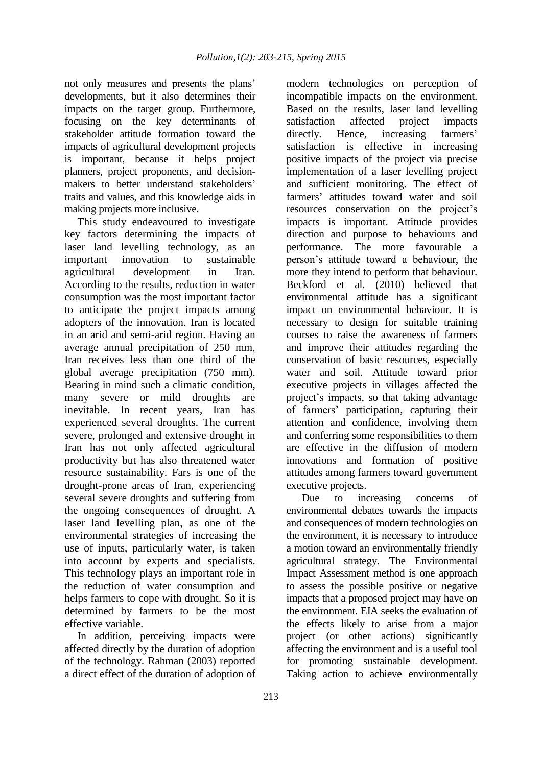not only measures and presents the plans' developments, but it also determines their impacts on the target group. Furthermore, focusing on the key determinants of stakeholder attitude formation toward the impacts of agricultural development projects is important, because it helps project planners, project proponents, and decisionmakers to better understand stakeholders' traits and values, and this knowledge aids in making projects more inclusive.

This study endeavoured to investigate key factors determining the impacts of laser land levelling technology, as an important innovation to sustainable agricultural development in Iran. According to the results, reduction in water consumption was the most important factor to anticipate the project impacts among adopters of the innovation. Iran is located in an arid and semi-arid region. Having an average annual precipitation of 250 mm, Iran receives less than one third of the global average precipitation (750 mm). Bearing in mind such a climatic condition, many severe or mild droughts are inevitable. In recent years, Iran has experienced several droughts. The current severe, prolonged and extensive drought in Iran has not only affected agricultural productivity but has also threatened water resource sustainability. Fars is one of the drought-prone areas of Iran, experiencing several severe droughts and suffering from the ongoing consequences of drought. A laser land levelling plan, as one of the environmental strategies of increasing the use of inputs, particularly water, is taken into account by experts and specialists. This technology plays an important role in the reduction of water consumption and helps farmers to cope with drought. So it is determined by farmers to be the most effective variable.

In addition, perceiving impacts were affected directly by the duration of adoption of the technology. Rahman (2003) reported a direct effect of the duration of adoption of

modern technologies on perception of incompatible impacts on the environment. Based on the results, laser land levelling satisfaction affected project impacts directly. Hence, increasing farmers' satisfaction is effective in increasing positive impacts of the project via precise implementation of a laser levelling project and sufficient monitoring. The effect of farmers' attitudes toward water and soil resources conservation on the project's impacts is important. Attitude provides direction and purpose to behaviours and performance. The more favourable a person's attitude toward a behaviour, the more they intend to perform that behaviour. Beckford et al. (2010) believed that environmental attitude has a significant impact on environmental behaviour. It is necessary to design for suitable training courses to raise the awareness of farmers and improve their attitudes regarding the conservation of basic resources, especially water and soil. Attitude toward prior executive projects in villages affected the project's impacts, so that taking advantage of farmers' participation, capturing their attention and confidence, involving them and conferring some responsibilities to them are effective in the diffusion of modern innovations and formation of positive attitudes among farmers toward government executive projects.

Due to increasing concerns of environmental debates towards the impacts and consequences of modern technologies on the environment, it is necessary to introduce a motion toward an environmentally friendly agricultural strategy. The Environmental Impact Assessment method is one approach to assess the possible positive or negative impacts that a proposed project may have on the environment. EIA seeks the evaluation of the effects likely to arise from a major project (or other actions) significantly affecting the environment and is a useful tool for promoting sustainable development. Taking action to achieve environmentally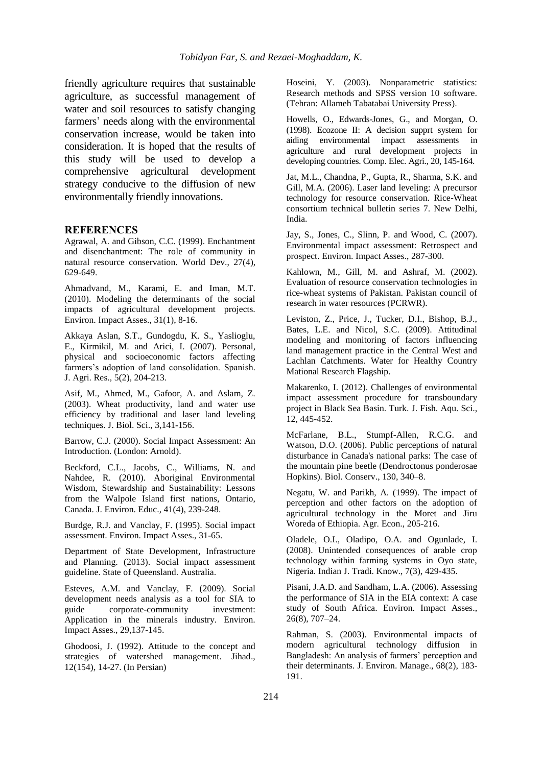friendly agriculture requires that sustainable agriculture, as successful management of water and soil resources to satisfy changing farmers' needs along with the environmental conservation increase, would be taken into consideration. It is hoped that the results of this study will be used to develop a comprehensive agricultural development strategy conducive to the diffusion of new environmentally friendly innovations.

### **REFERENCES**

Agrawal, A. and Gibson, C.C. (1999). Enchantment and disenchantment: The role of community in natural resource conservation. World Dev., 27(4), 629-649.

Ahmadvand, M., Karami, E. and Iman, M.T. (2010). Modeling the determinants of the social impacts of agricultural development projects. Environ. Impact Asses., 31(1), 8-16.

Akkaya Aslan, S.T., Gundogdu, K. S., Yaslioglu, E., Kirmikil, M. and Arici, I. (2007). Personal, physical and socioeconomic factors affecting farmers's adoption of land consolidation. Spanish. J. Agri. Res., 5(2), 204-213.

Asif, M., Ahmed, M., Gafoor, A. and Aslam, Z. (2003). Wheat productivity, land and water use efficiency by traditional and laser land leveling techniques. J. Biol. Sci., 3,141-156.

Barrow, C.J. (2000). Social Impact Assessment: An Introduction. (London: Arnold).

Beckford, C.L., Jacobs, C., Williams, N. and Nahdee, R. (2010). Aboriginal Environmental Wisdom, Stewardship and Sustainability: Lessons from the Walpole Island first nations, Ontario, Canada. J. Environ. Educ., 41(4), 239-248.

Burdge, R.J. and Vanclay, F. (1995). Social impact assessment. Environ. Impact Asses., 31-65.

Department of State Development, Infrastructure and Planning. (2013). Social impact assessment guideline. State of Queensland. Australia.

Esteves, A.M. and Vanclay, F. (2009). Social development needs analysis as a tool for SIA to guide corporate-community investment: Application in the minerals industry. Environ. Impact Asses., 29,137-145.

Ghodoosi, J. (1992). Attitude to the concept and strategies of watershed management. Jihad., 12(154), 14-27. (In Persian)

Hoseini, Y. (2003). Nonparametric statistics: Research methods and SPSS version 10 software. (Tehran: Allameh Tabatabai University Press).

Howells, O., Edwards-Jones, G., and Morgan, O. (1998). Ecozone II: A decision supprt system for aiding environmental impact assessments in agriculture and rural development projects in developing countries. Comp. Elec. Agri., 20, 145-164.

Jat, M.L., Chandna, P., Gupta, R., Sharma, S.K. and Gill, M.A. (2006). Laser land leveling: A precursor technology for resource conservation. Rice-Wheat consortium technical bulletin series 7. New Delhi, India.

Jay, S., Jones, C., Slinn, P. and Wood, C. (2007). Environmental impact assessment: Retrospect and prospect. Environ. Impact Asses., 287-300.

Kahlown, M., Gill, M. and Ashraf, M. (2002). Evaluation of resource conservation technologies in rice-wheat systems of Pakistan. Pakistan council of research in water resources (PCRWR).

Leviston, Z., Price, J., Tucker, D.I., Bishop, B.J., Bates, L.E. and Nicol, S.C. (2009). Attitudinal modeling and monitoring of factors influencing land management practice in the Central West and Lachlan Catchments. Water for Healthy Country Mational Research Flagship.

Makarenko, I. (2012). Challenges of environmental impact assessment procedure for transboundary project in Black Sea Basin. Turk. J. Fish. Aqu. Sci., 12, 445-452.

McFarlane, B.L., Stumpf-Allen, R.C.G. and Watson, D.O. (2006). Public perceptions of natural disturbance in Canada's national parks: The case of the mountain pine beetle (Dendroctonus ponderosae Hopkins). Biol. Conserv., 130, 340–8.

Negatu, W. and Parikh, A. (1999). The impact of perception and other factors on the adoption of agricultural technology in the Moret and Jiru Woreda of Ethiopia. Agr. Econ., 205-216.

Oladele, O.I., Oladipo, O.A. and Ogunlade, I. (2008). Unintended consequences of arable crop technology within farming systems in Oyo state, Nigeria. Indian J. Tradi. Know., 7(3), 429-435.

Pisani, J.A.D. and Sandham, L.A. (2006). Assessing the performance of SIA in the EIA context: A case study of South Africa. Environ. Impact Asses., 26(8), 707–24.

Rahman, S. (2003). Environmental impacts of modern agricultural technology diffusion in Bangladesh: An analysis of farmers' perception and their determinants. J. Environ. Manage., 68(2), 183- 191.